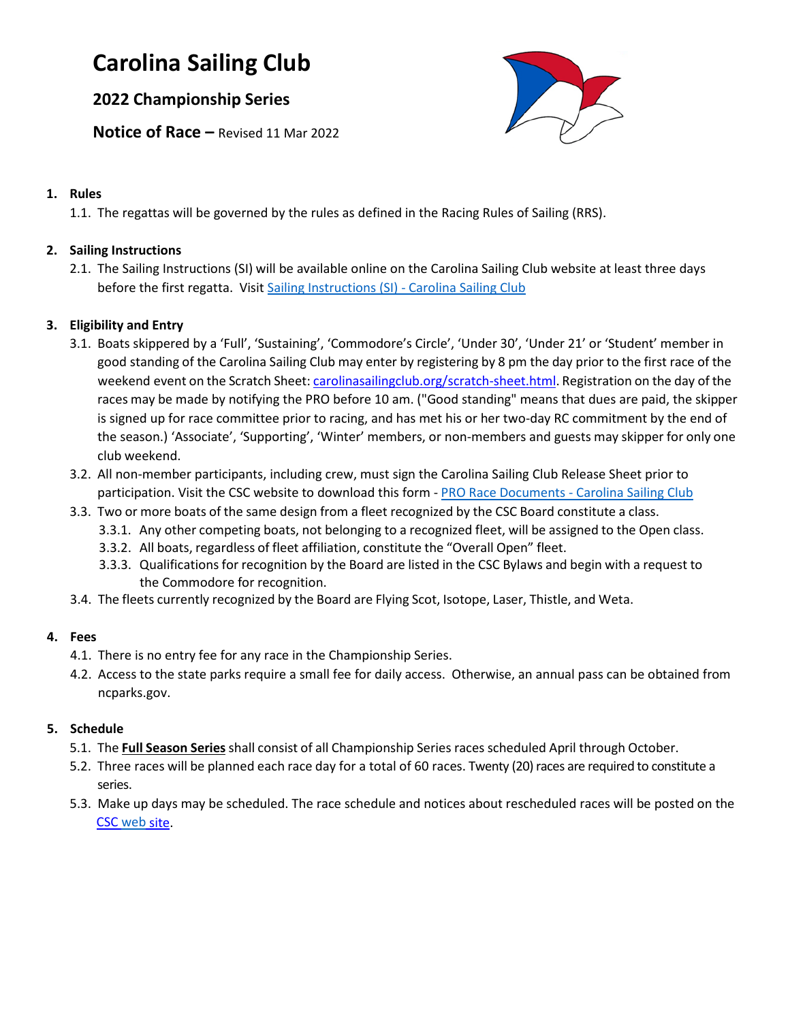# **Carolina Sailing Club**

## **2022 Championship Series**

**Notice of Race –** Revised 11 Mar 2022



#### **1. Rules**

1.1. The regattas will be governed by the rules as defined in the Racing Rules of Sailing (RRS).

## **2. Sailing Instructions**

2.1. The Sailing Instructions (SI) will be available online on the Carolina Sailing Club website at least three days before the first regatta. Visit [Sailing Instructions \(SI\) -](https://www.carolinasailingclub.org/sailing-instructions-si.html) Carolina Sailing Club

## **3. Eligibility and Entry**

- 3.1. Boats skippered by a 'Full', 'Sustaining', 'Commodore's Circle', 'Under 30', 'Under 21' or 'Student' member in good standing of the Carolina Sailing Club may enter by registering by 8 pm the day prior to the first race of the weekend event on the Scratch Sheet: carolinasailingclub.org/scratch-sheet.html. Registration on the day of the races may be made by notifying the PRO before 10 am. ("Good standing" means that dues are paid, the skipper is signed up for race committee prior to racing, and has met his or her two-day RC commitment by the end of the season.) 'Associate', 'Supporting', 'Winter' members, or non-members and guests may skipper for only one club weekend.
- 3.2. All non-member participants, including crew, must sign the Carolina Sailing Club Release Sheet prior to participation. Visit the CSC website to download this form - [PRO Race Documents -](https://www.carolinasailingclub.org/pro-race-documents.html) Carolina Sailing Club
- 3.3. Two or more boats of the same design from a fleet recognized by the CSC Board constitute a class.
	- 3.3.1. Any other competing boats, not belonging to a recognized fleet, will be assigned to the Open class.
	- 3.3.2. All boats, regardless of fleet affiliation, constitute the "Overall Open" fleet.
	- 3.3.3. Qualifications for recognition by the Board are listed in the CSC Bylaws and begin with a request to the Commodore for recognition.
- 3.4. The fleets currently recognized by the Board are Flying Scot, Isotope, Laser, Thistle, and Weta.

### **4. Fees**

- 4.1. There is no entry fee for any race in the Championship Series.
- 4.2. Access to the state parks require a small fee for daily access. Otherwise, an annual pass can be obtained from ncparks.gov.

## **5. Schedule**

- 5.1. The **Full Season Series**shall consist of all Championship Series races scheduled April through October.
- 5.2. Three races will be planned each race day for a total of 60 races. Twenty (20) races are required to constitute a series.
- 5.3. Make up days may be scheduled. The race schedule and notices about rescheduled races will be posted on the CSC [web](http://www.carolinasailingclub.org/) site.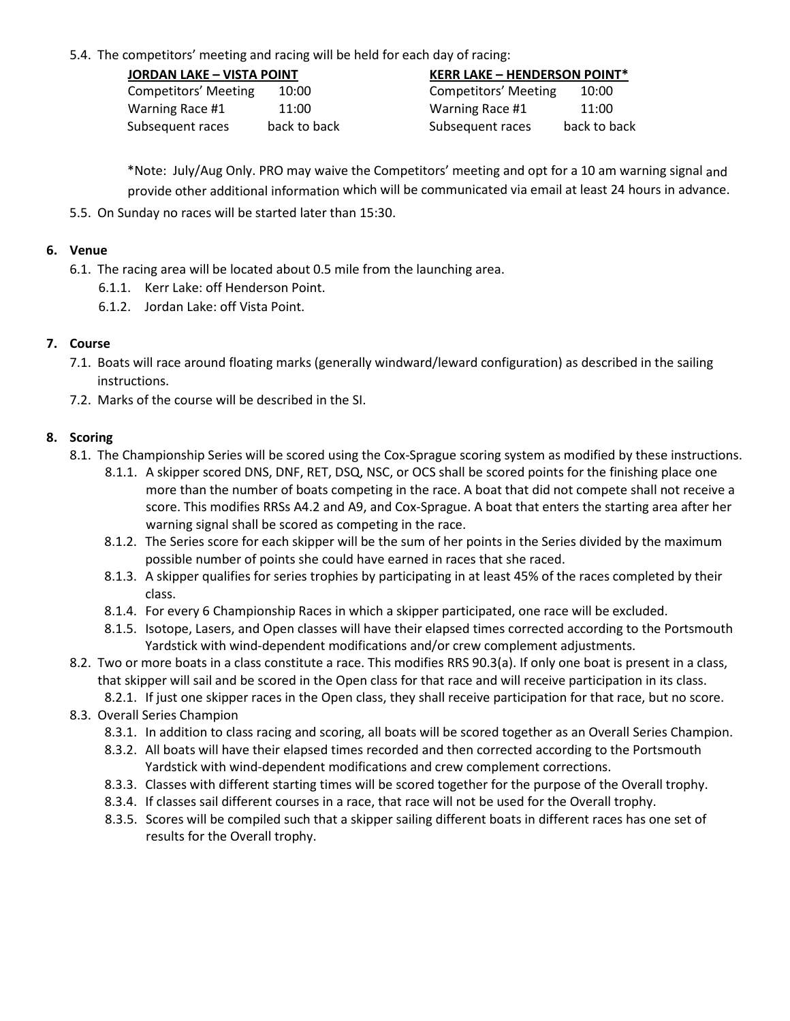5.4. The competitors' meeting and racing will be held for each day of racing:

| <b>JORDAN LAKE - VISTA POINT</b> |              | <b>KERR LAKE - HENDERSON POINT*</b> |              |
|----------------------------------|--------------|-------------------------------------|--------------|
| <b>Competitors' Meeting</b>      | 10:00        | <b>Competitors' Meeting</b>         | 10:00        |
| Warning Race #1                  | 11:00        | Warning Race #1                     | 11:00        |
| Subsequent races                 | back to back | Subsequent races                    | back to back |

\*Note: July/Aug Only. PRO may waive the Competitors' meeting and opt for a 10 am warning signal and provide other additional information which will be communicated via email at least 24 hours in advance.

5.5. On Sunday no races will be started later than 15:30.

#### **6. Venue**

- 6.1. The racing area will be located about 0.5 mile from the launching area.
	- 6.1.1. Kerr Lake: off Henderson Point.
	- 6.1.2. Jordan Lake: off Vista Point.

#### **7. Course**

- 7.1. Boats will race around floating marks (generally windward/leward configuration) as described in the sailing instructions.
- 7.2. Marks of the course will be described in the SI.

#### **8. Scoring**

- 8.1. The Championship Series will be scored using the Cox-Sprague scoring system as modified by these instructions.
	- 8.1.1. A skipper scored DNS, DNF, RET, DSQ, NSC, or OCS shall be scored points for the finishing place one more than the number of boats competing in the race. A boat that did not compete shall not receive a score. This modifies RRSs A4.2 and A9, and Cox-Sprague. A boat that enters the starting area after her warning signal shall be scored as competing in the race.
	- 8.1.2. The Series score for each skipper will be the sum of her points in the Series divided by the maximum possible number of points she could have earned in races that she raced.
	- 8.1.3. A skipper qualifies for series trophies by participating in at least 45% of the races completed by their class.
	- 8.1.4. For every 6 Championship Races in which a skipper participated, one race will be excluded.
	- 8.1.5. Isotope, Lasers, and Open classes will have their elapsed times corrected according to the Portsmouth Yardstick with wind-dependent modifications and/or crew complement adjustments.
- 8.2. Two or more boats in a class constitute a race. This modifies RRS 90.3(a). If only one boat is present in a class, that skipper will sail and be scored in the Open class for that race and will receive participation in its class.
- 8.2.1. If just one skipper races in the Open class, they shall receive participation for that race, but no score. 8.3. Overall Series Champion
	- 8.3.1. In addition to class racing and scoring, all boats will be scored together as an Overall Series Champion.
	- 8.3.2. All boats will have their elapsed times recorded and then corrected according to the Portsmouth Yardstick with wind-dependent modifications and crew complement corrections.
	- 8.3.3. Classes with different starting times will be scored together for the purpose of the Overall trophy.
	- 8.3.4. If classes sail different courses in a race, that race will not be used for the Overall trophy.
	- 8.3.5. Scores will be compiled such that a skipper sailing different boats in different races has one set of results for the Overall trophy.